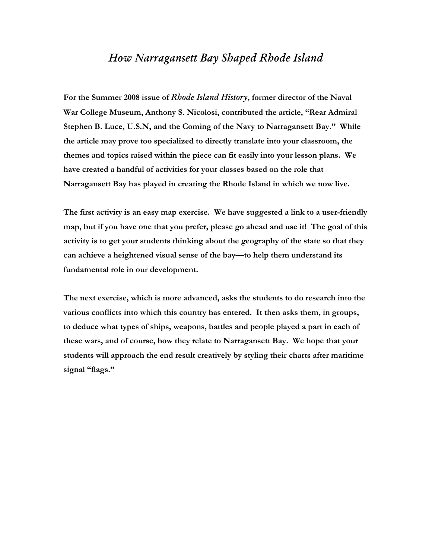#### *How Narragansett Bay Shaped Rhode Island*

**For the Summer 2008 issue of** *Rhode Island History***, former director of the Naval War College Museum, Anthony S. Nicolosi, contributed the article, "Rear Admiral Stephen B. Luce, U.S.N, and the Coming of the Navy to Narragansett Bay." While the article may prove too specialized to directly translate into your classroom, the themes and topics raised within the piece can fit easily into your lesson plans. We have created a handful of activities for your classes based on the role that Narragansett Bay has played in creating the Rhode Island in which we now live.** 

**The first activity is an easy map exercise. We have suggested a link to a user-friendly map, but if you have one that you prefer, please go ahead and use it! The goal of this activity is to get your students thinking about the geography of the state so that they can achieve a heightened visual sense of the bay—to help them understand its fundamental role in our development.** 

**The next exercise, which is more advanced, asks the students to do research into the various conflicts into which this country has entered. It then asks them, in groups, to deduce what types of ships, weapons, battles and people played a part in each of these wars, and of course, how they relate to Narragansett Bay. We hope that your students will approach the end result creatively by styling their charts after maritime signal "flags."**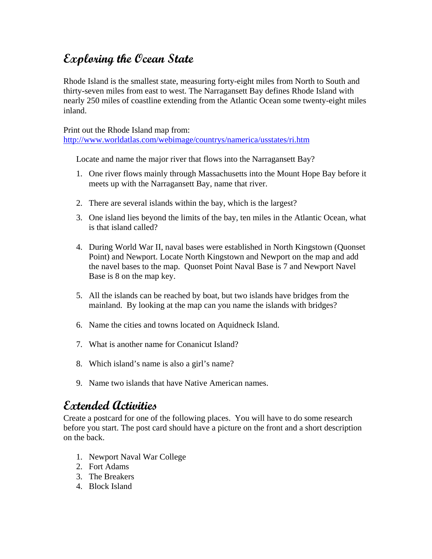# **Exploring the Ocean State**

Rhode Island is the smallest state, measuring forty-eight miles from North to South and thirty-seven miles from east to west. The Narragansett Bay defines Rhode Island with nearly 250 miles of coastline extending from the Atlantic Ocean some twenty-eight miles inland.

Print out the Rhode Island map from: <http://www.worldatlas.com/webimage/countrys/namerica/usstates/ri.htm>

Locate and name the major river that flows into the Narragansett Bay?

- 1. One river flows mainly through Massachusetts into the Mount Hope Bay before it meets up with the Narragansett Bay, name that river.
- 2. There are several islands within the bay, which is the largest?
- 3. One island lies beyond the limits of the bay, ten miles in the Atlantic Ocean, what is that island called?
- 4. During World War II, naval bases were established in North Kingstown (Quonset Point) and Newport. Locate North Kingstown and Newport on the map and add the navel bases to the map. Quonset Point Naval Base is 7 and Newport Navel Base is 8 on the map key.
- 5. All the islands can be reached by boat, but two islands have bridges from the mainland. By looking at the map can you name the islands with bridges?
- 6. Name the cities and towns located on Aquidneck Island.
- 7. What is another name for Conanicut Island?
- 8. Which island's name is also a girl's name?
- 9. Name two islands that have Native American names.

## **Extended Activities**

Create a postcard for one of the following places. You will have to do some research before you start. The post card should have a picture on the front and a short description on the back.

- 1. Newport Naval War College
- 2. Fort Adams
- 3. The Breakers
- 4. Block Island